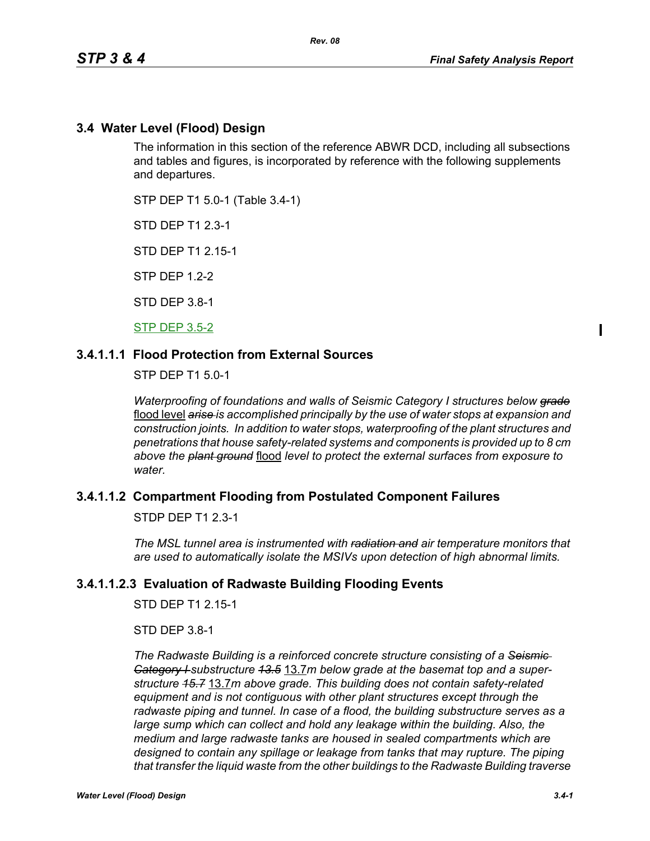# **3.4 Water Level (Flood) Design**

The information in this section of the reference ABWR DCD, including all subsections and tables and figures, is incorporated by reference with the following supplements and departures.

STP DEP T1 5.0-1 (Table 3.4-1)

STD DEP T1 2.3-1

STD DEP T1 2.15-1

STP DEP 1.2-2

STD DEP 3.8-1

STP DEP 3.5-2

# **3.4.1.1.1 Flood Protection from External Sources**

STP DEP T1 5.0-1

*Waterproofing of foundations and walls of Seismic Category I structures below grade* flood level *arise is accomplished principally by the use of water stops at expansion and construction joints. In addition to water stops, waterproofing of the plant structures and penetrations that house safety-related systems and components is provided up to 8 cm above the plant ground* flood *level to protect the external surfaces from exposure to water.*

## **3.4.1.1.2 Compartment Flooding from Postulated Component Failures**

STDP DEP T1 2.3-1

*The MSL tunnel area is instrumented with radiation and air temperature monitors that are used to automatically isolate the MSIVs upon detection of high abnormal limits.*

## **3.4.1.1.2.3 Evaluation of Radwaste Building Flooding Events**

STD DEP T1 2 15-1

STD DEP 3.8-1

*The Radwaste Building is a reinforced concrete structure consisting of a Seismic Category I substructure 13.5* 13.7*m below grade at the basemat top and a superstructure 15.7* 13.7*m above grade. This building does not contain safety-related equipment and is not contiguous with other plant structures except through the radwaste piping and tunnel. In case of a flood, the building substructure serves as a large sump which can collect and hold any leakage within the building. Also, the medium and large radwaste tanks are housed in sealed compartments which are designed to contain any spillage or leakage from tanks that may rupture. The piping that transfer the liquid waste from the other buildings to the Radwaste Building traverse*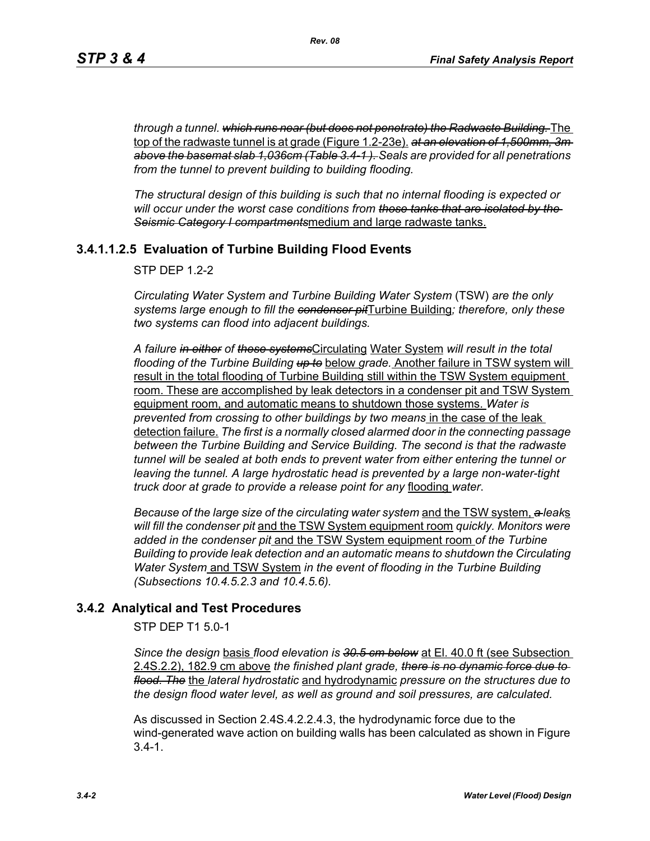*through a tunnel. which runs near (but does not penetrate) the Radwaste Building.* The top of the radwaste tunnel is at grade (Figure 1.2-23e). *at an elevation of 1,500mm, 3m above the basemat slab 1,036cm (Table 3.4-1 ). Seals are provided for all penetrations from the tunnel to prevent building to building flooding.*

*The structural design of this building is such that no internal flooding is expected or will occur under the worst case conditions from those tanks that are isolated by the Seismic Category I compartments*medium and large radwaste tanks.

# **3.4.1.1.2.5 Evaluation of Turbine Building Flood Events**

 $STP$  DFP 12-2

*Circulating Water System and Turbine Building Water System* (TSW) *are the only systems large enough to fill the condenser pit*Turbine Building*; therefore, only these two systems can flood into adjacent buildings.*

*A failure in either of these systems*Circulating Water System *will result in the total flooding of the Turbine Building up to* below *grade.* Another failure in TSW system will result in the total flooding of Turbine Building still within the TSW System equipment room. These are accomplished by leak detectors in a condenser pit and TSW System equipment room, and automatic means to shutdown those systems. *Water is prevented from crossing to other buildings by two means* in the case of the leak detection failure. *The first is a normally closed alarmed door in the connecting passage between the Turbine Building and Service Building. The second is that the radwaste tunnel will be sealed at both ends to prevent water from either entering the tunnel or leaving the tunnel. A large hydrostatic head is prevented by a large non-water-tight truck door at grade to provide a release point for any* flooding *water*.

*Because of the large size of the circulating water system* and the TSW system, *a leak*s *will fill the condenser pit* and the TSW System equipment room *quickly. Monitors were added in the condenser pit* and the TSW System equipment room *of the Turbine Building to provide leak detection and an automatic means to shutdown the Circulating Water System* and TSW System *in the event of flooding in the Turbine Building (Subsections 10.4.5.2.3 and 10.4.5.6).*

# **3.4.2 Analytical and Test Procedures**

STP DEP T1 5.0-1

*Since the design* basis *flood elevation is 30.5 cm below* at El. 40.0 ft (see Subsection 2.4S.2.2), 182.9 cm above *the finished plant grade, there is no dynamic force due to flood. The* the *lateral hydrostatic* and hydrodynamic *pressure on the structures due to the design flood water level, as well as ground and soil pressures, are calculated.*

As discussed in Section 2.4S.4.2.2.4.3, the hydrodynamic force due to the wind-generated wave action on building walls has been calculated as shown in Figure  $3.4 - 1.$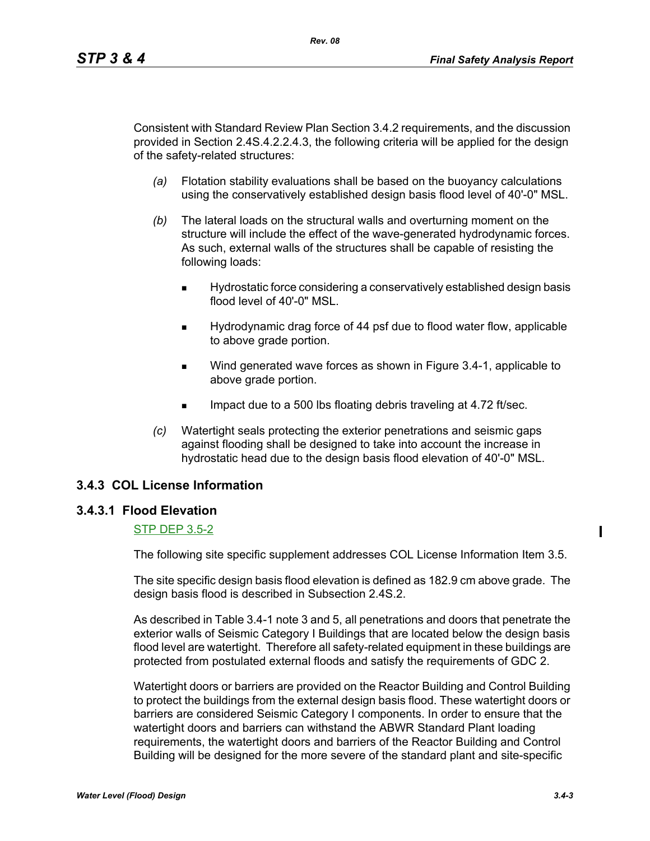Consistent with Standard Review Plan Section 3.4.2 requirements, and the discussion provided in Section 2.4S.4.2.2.4.3, the following criteria will be applied for the design of the safety-related structures:

- *(a)* Flotation stability evaluations shall be based on the buoyancy calculations using the conservatively established design basis flood level of 40'-0" MSL.
- *(b)* The lateral loads on the structural walls and overturning moment on the structure will include the effect of the wave-generated hydrodynamic forces. As such, external walls of the structures shall be capable of resisting the following loads:
	- Hydrostatic force considering a conservatively established design basis flood level of 40'-0" MSL.
	- Hydrodynamic drag force of 44 psf due to flood water flow, applicable to above grade portion.
	- Wind generated wave forces as shown in Figure 3.4-1, applicable to above grade portion.
	- Impact due to a 500 lbs floating debris traveling at 4.72 ft/sec.
- *(c)* Watertight seals protecting the exterior penetrations and seismic gaps against flooding shall be designed to take into account the increase in hydrostatic head due to the design basis flood elevation of 40'-0" MSL.

# **3.4.3 COL License Information**

## **3.4.3.1 Flood Elevation**

#### STP DEP 3.5-2

The following site specific supplement addresses COL License Information Item 3.5.

The site specific design basis flood elevation is defined as 182.9 cm above grade. The design basis flood is described in Subsection 2.4S.2.

As described in Table 3.4-1 note 3 and 5, all penetrations and doors that penetrate the exterior walls of Seismic Category I Buildings that are located below the design basis flood level are watertight. Therefore all safety-related equipment in these buildings are protected from postulated external floods and satisfy the requirements of GDC 2.

Watertight doors or barriers are provided on the Reactor Building and Control Building to protect the buildings from the external design basis flood. These watertight doors or barriers are considered Seismic Category I components. In order to ensure that the watertight doors and barriers can withstand the ABWR Standard Plant loading requirements, the watertight doors and barriers of the Reactor Building and Control Building will be designed for the more severe of the standard plant and site-specific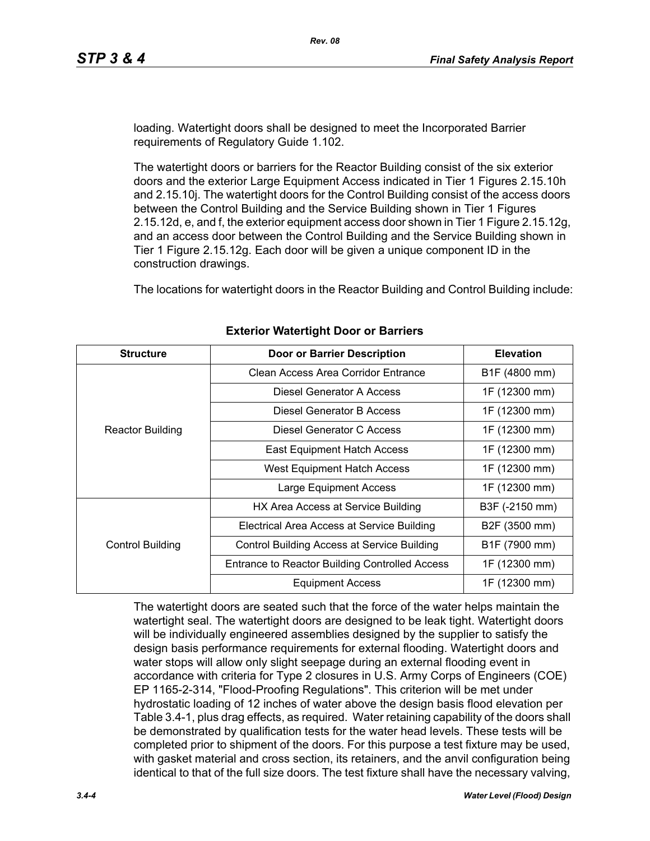loading. Watertight doors shall be designed to meet the Incorporated Barrier requirements of Regulatory Guide 1.102.

The watertight doors or barriers for the Reactor Building consist of the six exterior doors and the exterior Large Equipment Access indicated in Tier 1 Figures 2.15.10h and 2.15.10j. The watertight doors for the Control Building consist of the access doors between the Control Building and the Service Building shown in Tier 1 Figures 2.15.12d, e, and f, the exterior equipment access door shown in Tier 1 Figure 2.15.12g, and an access door between the Control Building and the Service Building shown in Tier 1 Figure 2.15.12g. Each door will be given a unique component ID in the construction drawings.

The locations for watertight doors in the Reactor Building and Control Building include:

| <b>Structure</b>        | <b>Door or Barrier Description</b>                 | <b>Elevation</b> |  |
|-------------------------|----------------------------------------------------|------------------|--|
|                         | Clean Access Area Corridor Entrance                | B1F (4800 mm)    |  |
|                         | Diesel Generator A Access                          | 1F (12300 mm)    |  |
|                         | Diesel Generator B Access                          | 1F (12300 mm)    |  |
| <b>Reactor Building</b> | Diesel Generator C Access                          | 1F (12300 mm)    |  |
|                         | East Equipment Hatch Access                        | 1F (12300 mm)    |  |
|                         | <b>West Equipment Hatch Access</b>                 | 1F (12300 mm)    |  |
|                         | Large Equipment Access                             | 1F (12300 mm)    |  |
|                         | HX Area Access at Service Building                 | B3F (-2150 mm)   |  |
|                         | Electrical Area Access at Service Building         | B2F (3500 mm)    |  |
| <b>Control Building</b> | <b>Control Building Access at Service Building</b> | B1F (7900 mm)    |  |
|                         | Entrance to Reactor Building Controlled Access     | 1F (12300 mm)    |  |
|                         | <b>Equipment Access</b>                            | 1F (12300 mm)    |  |

## **Exterior Watertight Door or Barriers**

The watertight doors are seated such that the force of the water helps maintain the watertight seal. The watertight doors are designed to be leak tight. Watertight doors will be individually engineered assemblies designed by the supplier to satisfy the design basis performance requirements for external flooding. Watertight doors and water stops will allow only slight seepage during an external flooding event in accordance with criteria for Type 2 closures in U.S. Army Corps of Engineers (COE) EP 1165-2-314, "Flood-Proofing Regulations". This criterion will be met under hydrostatic loading of 12 inches of water above the design basis flood elevation per Table 3.4-1, plus drag effects, as required. Water retaining capability of the doors shall be demonstrated by qualification tests for the water head levels. These tests will be completed prior to shipment of the doors. For this purpose a test fixture may be used, with gasket material and cross section, its retainers, and the anvil configuration being identical to that of the full size doors. The test fixture shall have the necessary valving,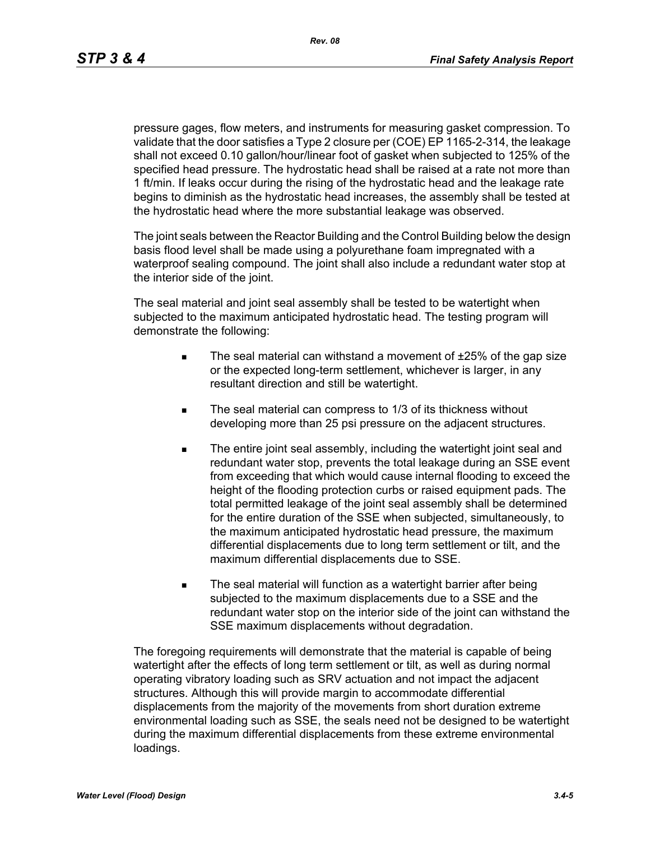pressure gages, flow meters, and instruments for measuring gasket compression. To validate that the door satisfies a Type 2 closure per (COE) EP 1165-2-314, the leakage shall not exceed 0.10 gallon/hour/linear foot of gasket when subjected to 125% of the specified head pressure. The hydrostatic head shall be raised at a rate not more than 1 ft/min. If leaks occur during the rising of the hydrostatic head and the leakage rate begins to diminish as the hydrostatic head increases, the assembly shall be tested at the hydrostatic head where the more substantial leakage was observed.

The joint seals between the Reactor Building and the Control Building below the design basis flood level shall be made using a polyurethane foam impregnated with a waterproof sealing compound. The joint shall also include a redundant water stop at the interior side of the joint.

The seal material and joint seal assembly shall be tested to be watertight when subjected to the maximum anticipated hydrostatic head. The testing program will demonstrate the following:

- The seal material can withstand a movement of  $±25%$  of the gap size or the expected long-term settlement, whichever is larger, in any resultant direction and still be watertight.
- The seal material can compress to 1/3 of its thickness without developing more than 25 psi pressure on the adjacent structures.
- The entire joint seal assembly, including the watertight joint seal and redundant water stop, prevents the total leakage during an SSE event from exceeding that which would cause internal flooding to exceed the height of the flooding protection curbs or raised equipment pads. The total permitted leakage of the joint seal assembly shall be determined for the entire duration of the SSE when subjected, simultaneously, to the maximum anticipated hydrostatic head pressure, the maximum differential displacements due to long term settlement or tilt, and the maximum differential displacements due to SSE.
- The seal material will function as a watertight barrier after being subjected to the maximum displacements due to a SSE and the redundant water stop on the interior side of the joint can withstand the SSE maximum displacements without degradation.

The foregoing requirements will demonstrate that the material is capable of being watertight after the effects of long term settlement or tilt, as well as during normal operating vibratory loading such as SRV actuation and not impact the adjacent structures. Although this will provide margin to accommodate differential displacements from the majority of the movements from short duration extreme environmental loading such as SSE, the seals need not be designed to be watertight during the maximum differential displacements from these extreme environmental loadings.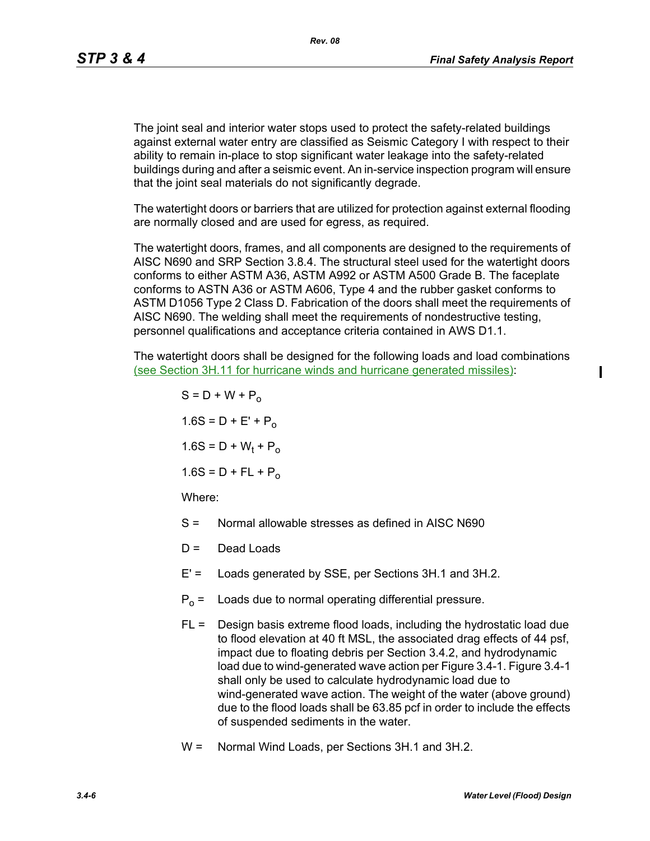The joint seal and interior water stops used to protect the safety-related buildings against external water entry are classified as Seismic Category I with respect to their ability to remain in-place to stop significant water leakage into the safety-related buildings during and after a seismic event. An in-service inspection program will ensure that the joint seal materials do not significantly degrade.

The watertight doors or barriers that are utilized for protection against external flooding are normally closed and are used for egress, as required.

The watertight doors, frames, and all components are designed to the requirements of AISC N690 and SRP Section 3.8.4. The structural steel used for the watertight doors conforms to either ASTM A36, ASTM A992 or ASTM A500 Grade B. The faceplate conforms to ASTN A36 or ASTM A606, Type 4 and the rubber gasket conforms to ASTM D1056 Type 2 Class D. Fabrication of the doors shall meet the requirements of AISC N690. The welding shall meet the requirements of nondestructive testing, personnel qualifications and acceptance criteria contained in AWS D1.1.

The watertight doors shall be designed for the following loads and load combinations (see Section 3H.11 for hurricane winds and hurricane generated missiles):

> $S = D + W + P_0$  $1.6S = D + E' + P_0$  $1.6S = D + W_t + P_o$  $1.6S = D + FL + P_0$ Where:

- S = Normal allowable stresses as defined in AISC N690
- $D =$  Dead Loads
- E' = Loads generated by SSE, per Sections 3H.1 and 3H.2.
- $P_0$  = Loads due to normal operating differential pressure.
- FL = Design basis extreme flood loads, including the hydrostatic load due to flood elevation at 40 ft MSL, the associated drag effects of 44 psf, impact due to floating debris per Section 3.4.2, and hydrodynamic load due to wind-generated wave action per Figure 3.4-1. Figure 3.4-1 shall only be used to calculate hydrodynamic load due to wind-generated wave action. The weight of the water (above ground) due to the flood loads shall be 63.85 pcf in order to include the effects of suspended sediments in the water.
- W = Normal Wind Loads, per Sections 3H.1 and 3H.2.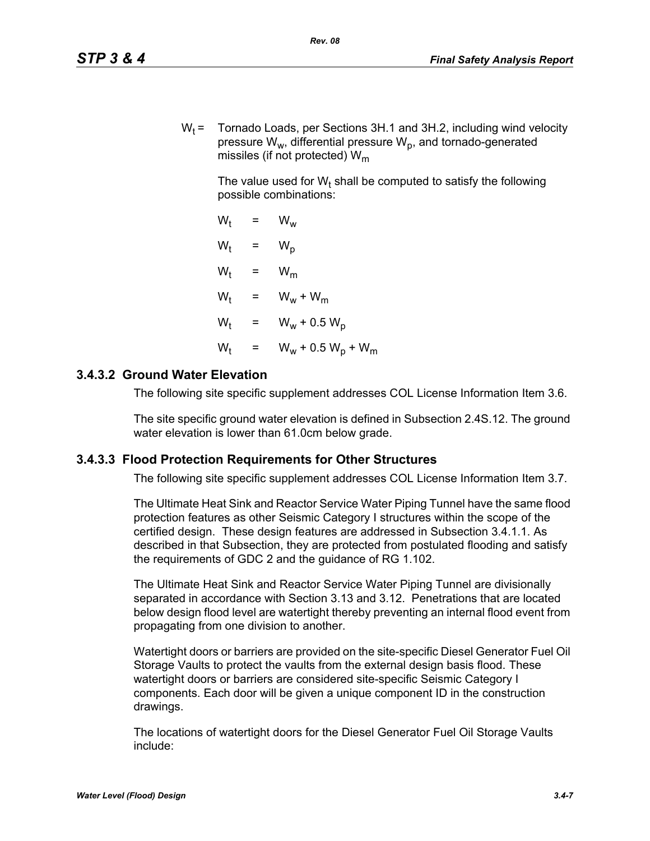$W_t$  = Tornado Loads, per Sections 3H.1 and 3H.2, including wind velocity pressure  $W_w$ , differential pressure  $W_p$ , and tornado-generated missiles (if not protected)  $W_m$ 

The value used for W<sub>t</sub> shall be computed to satisfy the following possible combinations:

 $W_t = W_w$  $W_t$  $= W_p$  $W_t$  =  $W_m$  $W_t$  =  $W_w + W_m$  $W_t$  =  $W_w + 0.5 W_p$  $W_{t}$ =  $W_w + 0.5 W_p + W_m$ 

# **3.4.3.2 Ground Water Elevation**

The following site specific supplement addresses COL License Information Item 3.6.

The site specific ground water elevation is defined in Subsection 2.4S.12. The ground water elevation is lower than 61.0cm below grade.

## **3.4.3.3 Flood Protection Requirements for Other Structures**

The following site specific supplement addresses COL License Information Item 3.7.

The Ultimate Heat Sink and Reactor Service Water Piping Tunnel have the same flood protection features as other Seismic Category I structures within the scope of the certified design. These design features are addressed in Subsection 3.4.1.1. As described in that Subsection, they are protected from postulated flooding and satisfy the requirements of GDC 2 and the guidance of RG 1.102.

The Ultimate Heat Sink and Reactor Service Water Piping Tunnel are divisionally separated in accordance with Section 3.13 and 3.12. Penetrations that are located below design flood level are watertight thereby preventing an internal flood event from propagating from one division to another.

Watertight doors or barriers are provided on the site-specific Diesel Generator Fuel Oil Storage Vaults to protect the vaults from the external design basis flood. These watertight doors or barriers are considered site-specific Seismic Category I components. Each door will be given a unique component ID in the construction drawings.

The locations of watertight doors for the Diesel Generator Fuel Oil Storage Vaults include: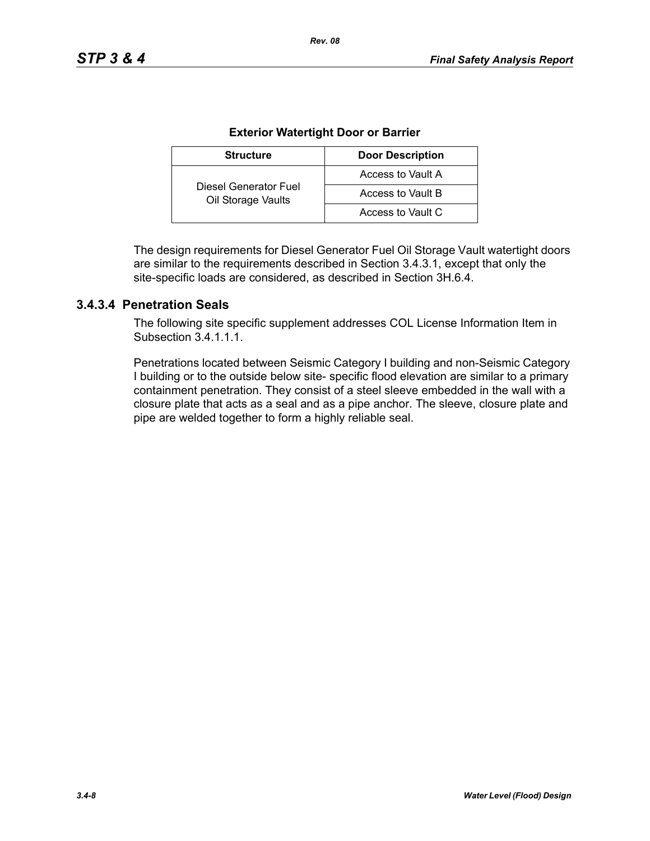| <b>Structure</b>                            | <b>Door Description</b> |  |
|---------------------------------------------|-------------------------|--|
|                                             | Access to Vault A       |  |
| Diesel Generator Fuel<br>Oil Storage Vaults | Access to Vault B       |  |
|                                             | Access to Vault C       |  |

#### **Exterior Watertight Door or Barrier**

*Rev. 08*

The design requirements for Diesel Generator Fuel Oil Storage Vault watertight doors are similar to the requirements described in Section 3.4.3.1, except that only the site-specific loads are considered, as described in Section 3H.6.4.

# **3.4.3.4 Penetration Seals**

The following site specific supplement addresses COL License Information Item in Subsection 34111

Penetrations located between Seismic Category I building and non-Seismic Category I building or to the outside below site- specific flood elevation are similar to a primary containment penetration. They consist of a steel sleeve embedded in the wall with a closure plate that acts as a seal and as a pipe anchor. The sleeve, closure plate and pipe are welded together to form a highly reliable seal.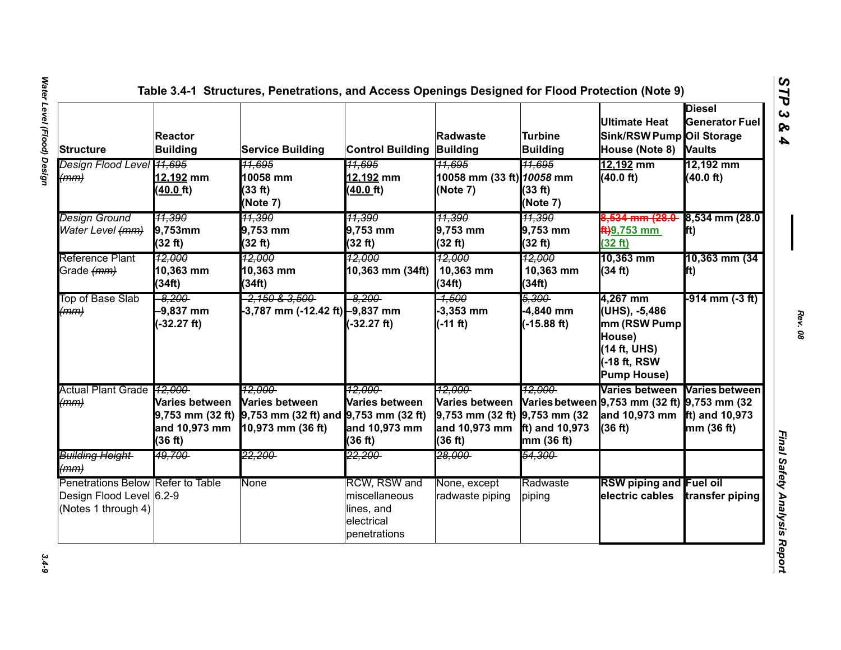| <b>Structure</b>                                                                     | <b>Reactor</b><br>Building                 | <b>Service Building</b>                                                                                        | <b>Control Building Building</b>                                                 | Radwaste                                                                                         | Turbine<br><b>Building</b>                   | <b>Ultimate Heat</b><br>Sink/RSW Pump Oil Storage<br>House (Note 8)                                      | <b>Diesel</b><br><b>Generator Fuel</b><br><b>Vaults</b> |
|--------------------------------------------------------------------------------------|--------------------------------------------|----------------------------------------------------------------------------------------------------------------|----------------------------------------------------------------------------------|--------------------------------------------------------------------------------------------------|----------------------------------------------|----------------------------------------------------------------------------------------------------------|---------------------------------------------------------|
| Design Flood Level 41,695<br>(mm)                                                    | 12,192 mm<br>$(40.0)$ ft)                  | 11.695<br>10058 mm<br>(33 ft)<br>(Note 7)                                                                      | <u> 11.695</u><br>12,192 mm<br>$(40.0)$ ft)                                      | 11.695<br>10058 mm (33 ft) 10058 mm<br>(Note 7)                                                  | <u>11.695</u><br>(33 ft)<br>(Note 7)         | 12,192 mm<br>(40.0 ft)                                                                                   | 12,192 mm<br>(40.0 ft)                                  |
| <b>Design Ground</b><br>Water Level (mm)                                             | 11,390<br>$9,753$ mm<br>(32 ft)            | 11,390<br>9,753 mm<br>(32 ft)                                                                                  | 11,390<br>9,753 mm<br>(32 ft)                                                    | 11,390<br>9,753 mm<br>(32 ft)                                                                    | 11,390<br>9,753 mm<br>(32 ft)                | 8 <del>,534 mm (28.0 -</del><br><del>ft)</del> 9,753 mm<br>(32 ft)                                       | $8,534$ mm (28.0<br>fft)                                |
| Reference Plant<br>Grade (mm)                                                        | 12,000<br>10,363 mm<br>(34ft)              | 12.000<br>10,363 mm<br>(34ft)                                                                                  | 12,000<br>10,363 mm (34ft)                                                       | <u> 12.000</u><br>10,363 mm<br>(34ft)                                                            | <u> 12.000 </u><br>10,363 mm<br>(34ft)       | 10,363 mm<br>(34 ft)                                                                                     | 10,363 mm (34<br>lft)                                   |
| Top of Base Slab<br>(mm)                                                             | $-8.200$<br>$-9,837$ mm<br>$(-32.27 ft)$   | <del>-2,150 &amp; 3,500 -</del><br>-3,787 mm (-12.42 ft) -9,837 mm                                             | $-8.200$<br>$-32.27$ ft)                                                         | -1.500<br>$-3,353$ mm<br>$(-11 ft)$                                                              | 5.300-<br>-4,840 mm<br>$(-15.88 \text{ ft})$ | 4,267 mm<br>(UHS), -5,486<br>mm (RSW Pump<br>House)<br>(14 ft, UHS)<br>-18 ft, RSW<br><b>Pump House)</b> | -914 mm (-3 ft)                                         |
| Actual Plant Grade 12,000<br>(mm)                                                    | Varies between<br>and 10,973 mm<br>(36 ft) | 12.000<br><b>Varies between</b><br>9,753 mm (32 ft) 9,753 mm (32 ft) and 9,753 mm (32 ft)<br>10,973 mm (36 ft) | 12.000<br>Varies between<br>and 10,973 mm<br>(36 ft)                             | 12.000<br><b>Varies between</b><br>$9,753$ mm (32 ft) $9,753$ mm (32<br>and 10,973 mm<br>(36 ft) | 12.000<br>$ft$ ) and 10,973<br>mm (36 ft)    | Varies between<br>Varies between 9,753 mm (32 ft) 9,753 mm (32<br>and 10,973 mm<br>(36 ft)               | <b>Varies between</b><br>ft) and 10,973<br>mm (36 ft)   |
| <b>Building Height</b><br>(mm)                                                       | 49.700-                                    | 22.200-                                                                                                        | <del>22.200-</del>                                                               | <del>28.000-</del>                                                                               | <del>54.300</del>                            |                                                                                                          |                                                         |
| Penetrations Below Refer to Table<br>Design Flood Level 6.2-9<br>(Notes 1 through 4) |                                            | None                                                                                                           | <b>RCW, RSW and</b><br>miscellaneous<br>lines, and<br>electrical<br>penetrations | None, except<br>radwaste piping                                                                  | Radwaste<br>piping                           | <b>RSW piping and Fuel oil</b><br>electric cables                                                        | transfer piping                                         |

 $3.4 - 9$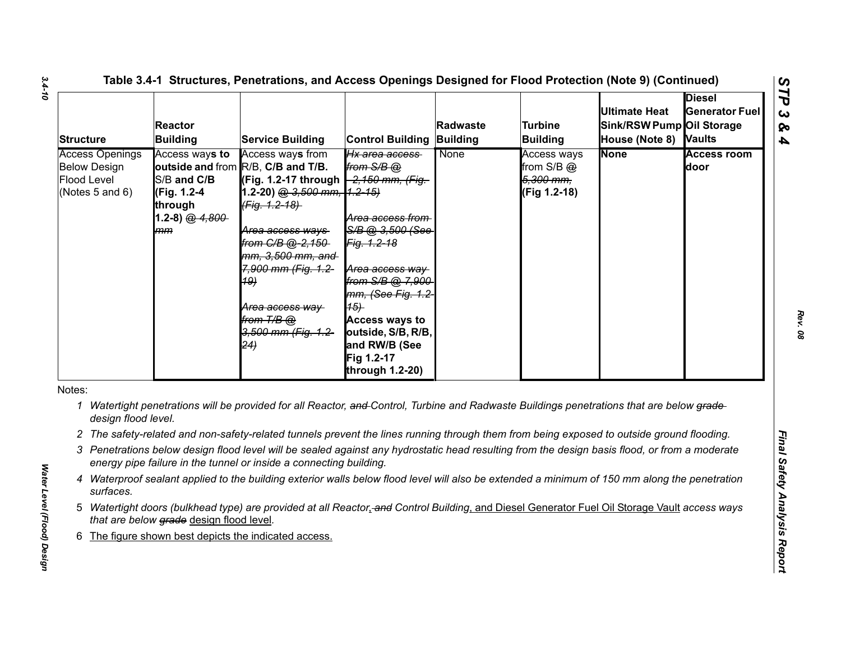| <b>Structure</b>                                                                | <b>Reactor</b><br><b>Building</b>                                                 | <b>Service Building</b>                                                                                                                                                                                                                                                                                                       | <b>Control Building</b>                                                                                                                                                                                                                                      | Radwaste<br>Building | <b>Turbine</b><br><b>Building</b>                          | <b>Ultimate Heat</b><br>Sink/RSW Pump Oil Storage<br>House (Note 8) Vaults | <b>Diesel</b><br><b>Generator Fuel</b> |
|---------------------------------------------------------------------------------|-----------------------------------------------------------------------------------|-------------------------------------------------------------------------------------------------------------------------------------------------------------------------------------------------------------------------------------------------------------------------------------------------------------------------------|--------------------------------------------------------------------------------------------------------------------------------------------------------------------------------------------------------------------------------------------------------------|----------------------|------------------------------------------------------------|----------------------------------------------------------------------------|----------------------------------------|
| <b>Access Openings</b><br><b>Below Design</b><br>Flood Level<br>(Notes 5 and 6) | Access ways to<br>S/B and C/B<br>(Fig. 1.2-4<br>through<br>1.2-8) $@.4.800$<br>mm | Access ways from<br>outside and from R/B, C/B and T/B.<br>(Fig. 1.2-17 through -2,150 mm, (Fig.<br>1.2-20) @ 3,500 mm, 1.2-15)<br>(Fig. 1.2-18)<br><del>Area access ways</del><br>from C/B @-2,150-<br>mm, 3,500 mm, and<br>7,900 mm (Fig. 1.2-<br><b>19)</b><br>Area access way<br>from T/B @<br>3,500 mm (Fig. 1.2-<br>(24) | Hx area access<br>from $S/B$ $@$<br>Area access from<br>S/B @ 3.500 (See<br>Fig. 1.2-18<br>Area access way<br>from S/B @ 7,900<br>mm, (See Fig. 1.2<br>(15)<br><b>Access ways to</b><br>outside, S/B, R/B,<br>and RW/B (See<br>Fig 1.2-17<br>through 1.2-20) | None                 | Access ways<br>from $S/B$ $@$<br>5,300 mm,<br>(Fig 1.2-18) | <b>None</b>                                                                | <b>Access room</b><br>door             |
| Notes:<br>1<br>design flood level.                                              |                                                                                   | Watertight penetrations will be provided for all Reactor, and Control, Turbine and Radwaste Buildings penetrations that are below grade-                                                                                                                                                                                      |                                                                                                                                                                                                                                                              |                      |                                                            |                                                                            |                                        |
|                                                                                 |                                                                                   | 2 The safety-related and non-safety-related tunnels prevent the lines running through them from being exposed to outside ground flooding.                                                                                                                                                                                     |                                                                                                                                                                                                                                                              |                      |                                                            |                                                                            |                                        |
|                                                                                 |                                                                                   | 3 Penetrations below design flood level will be sealed against any hydrostatic head resulting from the design basis flood, or from a moderate<br>energy pipe failure in the tunnel or inside a connecting building.                                                                                                           |                                                                                                                                                                                                                                                              |                      |                                                            |                                                                            |                                        |
| 4<br>surfaces.                                                                  |                                                                                   | Waterproof sealant applied to the building exterior walls below flood level will also be extended a minimum of 150 mm along the penetration                                                                                                                                                                                   |                                                                                                                                                                                                                                                              |                      |                                                            |                                                                            |                                        |
|                                                                                 | that are below grade design flood level.                                          | 5 Watertight doors (bulkhead type) are provided at all Reactor, and Control Building, and Diesel Generator Fuel Oil Storage Vault access ways                                                                                                                                                                                 |                                                                                                                                                                                                                                                              |                      |                                                            |                                                                            |                                        |
|                                                                                 |                                                                                   |                                                                                                                                                                                                                                                                                                                               |                                                                                                                                                                                                                                                              |                      |                                                            |                                                                            |                                        |

*Water Level (Flood) Design* 

Water Level (Flood) Design

- 
- 
- 
- 
- 
- 

*Rev. 08*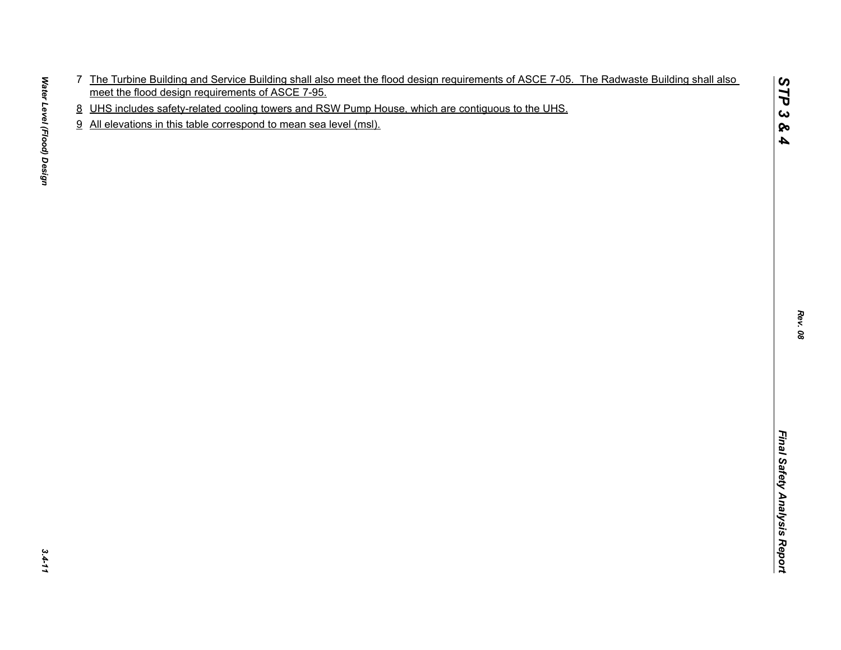- The Tustinian Burling and Service Bullding and allel meet the flood design requirements of ASCE 7-05. The Radivaste Building shall also.<br>In the Tustinian Burling and Service Courses and RSV Purin House which are continuous
- 
- 

*STP 3 & 4*